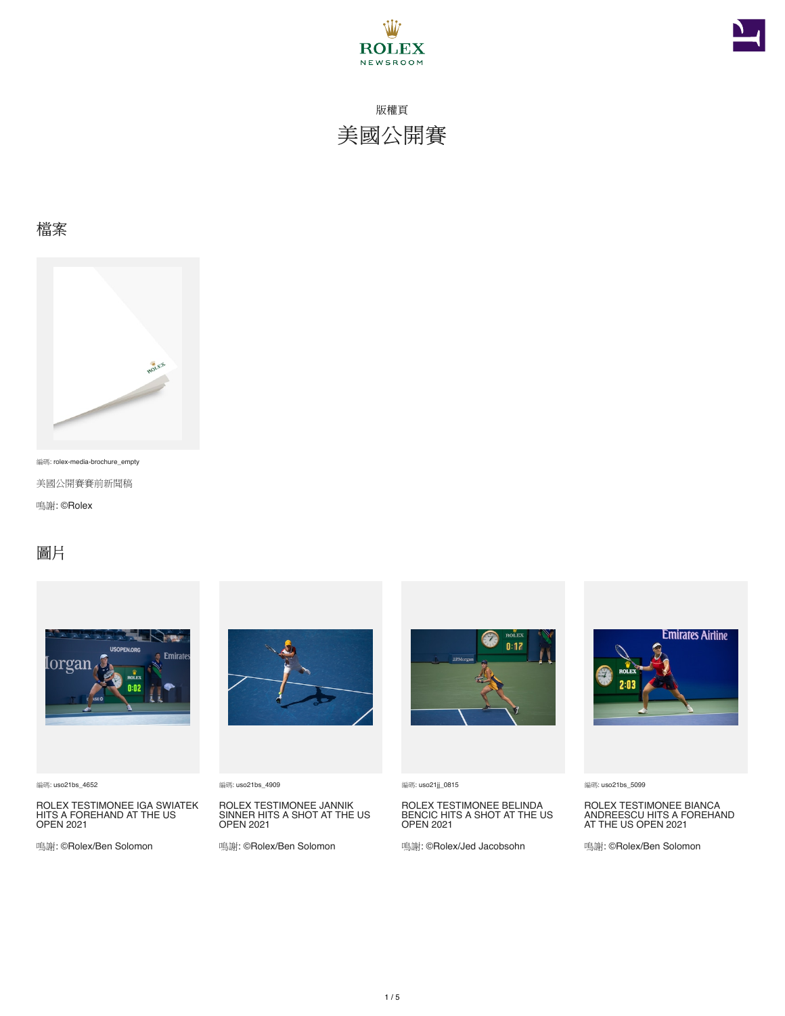



### 檔案



編碼: rolex-media-brochure\_empty

美國公開賽賽前新聞稿

鳴謝: ©Rolex

### 圖片



編碼: uso21bs\_4652

ROLEX TESTIMONEE IGA SWIATEK HITS A FOREHAND AT THE US OPEN 2021

鳴謝: ©Rolex/Ben Solomon



編碼: uso21bs\_4909

ROLEX TESTIMONEE JANNIK SINNER HITS A SHOT AT THE US OPEN 2021

鳴謝: ©Rolex/Ben Solomon



編碼: uso21jj\_0815

ROLEX TESTIMONEE BELINDA BENCIC HITS A SHOT AT THE US OPEN 2021

鳴謝: ©Rolex/Jed Jacobsohn



編碼: uso21bs\_5099

ROLEX TESTIMONEE BIANCA ANDREESCU HITS A FOREHAND AT THE US OPEN 2021

鳴謝: ©Rolex/Ben Solomon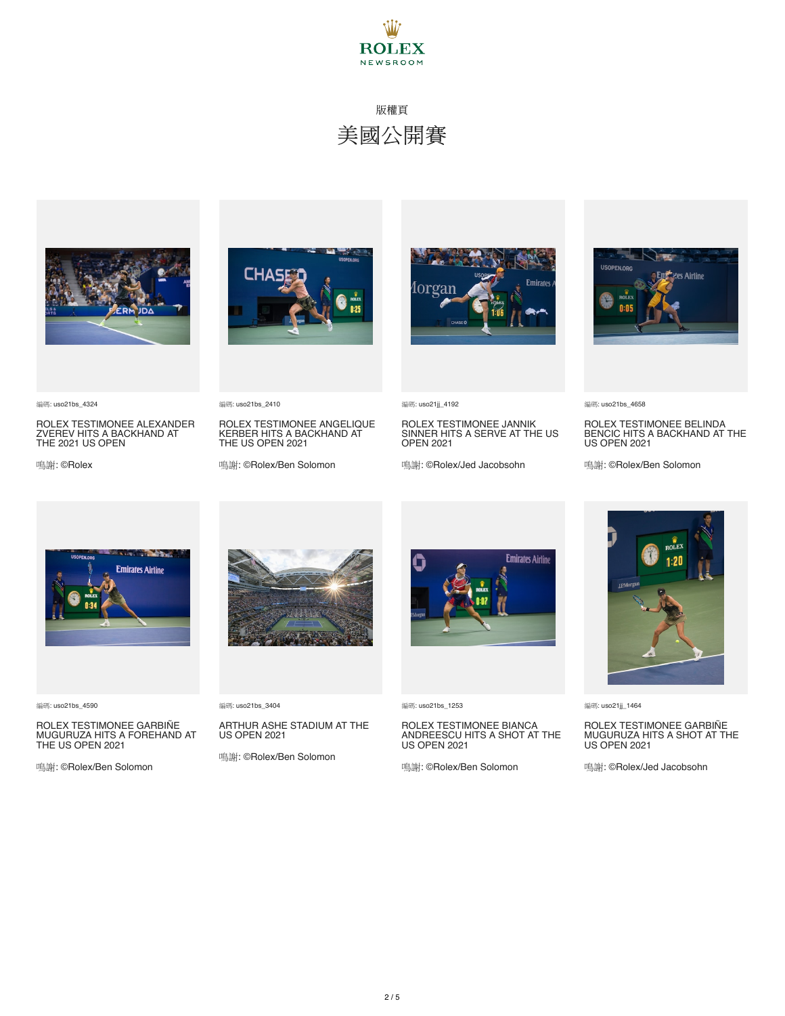



編碼: uso21bs\_4324

ROLEX TESTIMONEE ALEXANDER ZVEREV HITS A BACKHAND AT THE 2021 US OPEN

鳴謝: ©Rolex





編碼: uso21bs\_2410

ROLEX TESTIMONEE ANGELIQUE KERBER HITS A BACKHAND AT THE US OPEN 2021

鳴謝: ©Rolex/Ben Solomon



編碼: uso21jj\_4192

ROLEX TESTIMONEE JANNIK SINNER HITS A SERVE AT THE US OPEN 2021

鳴謝: ©Rolex/Jed Jacobsohn



編碼: uso21bs\_4658

ROLEX TESTIMONEE BELINDA BENCIC HITS A BACKHAND AT THE US OPEN 2021

鳴謝: ©Rolex/Ben Solomon



編碼: uso21bs\_4590

ROLEX TESTIMONEE GARBIÑE<br>MUGURUZA HITS A FOREHAND AT THE US OPEN 2021

鳴謝: ©Rolex/Ben Solomon



編碼: uso21bs\_3404

ARTHUR ASHE STADIUM AT THE US OPEN 2021

鳴謝: ©Rolex/Ben Solomon



編碼: uso21bs\_1253

### ROLEX TESTIMONEE BIANCA ANDREESCU HITS A SHOT AT THE US OPEN 2021

鳴謝: ©Rolex/Ben Solomon

編碼: uso21jj\_1464

### ROLEX TESTIMONEE GARBIÑE<br>MUGURUZA HITS A SHOT AT THE US OPEN 2021

鳴謝: ©Rolex/Jed Jacobsohn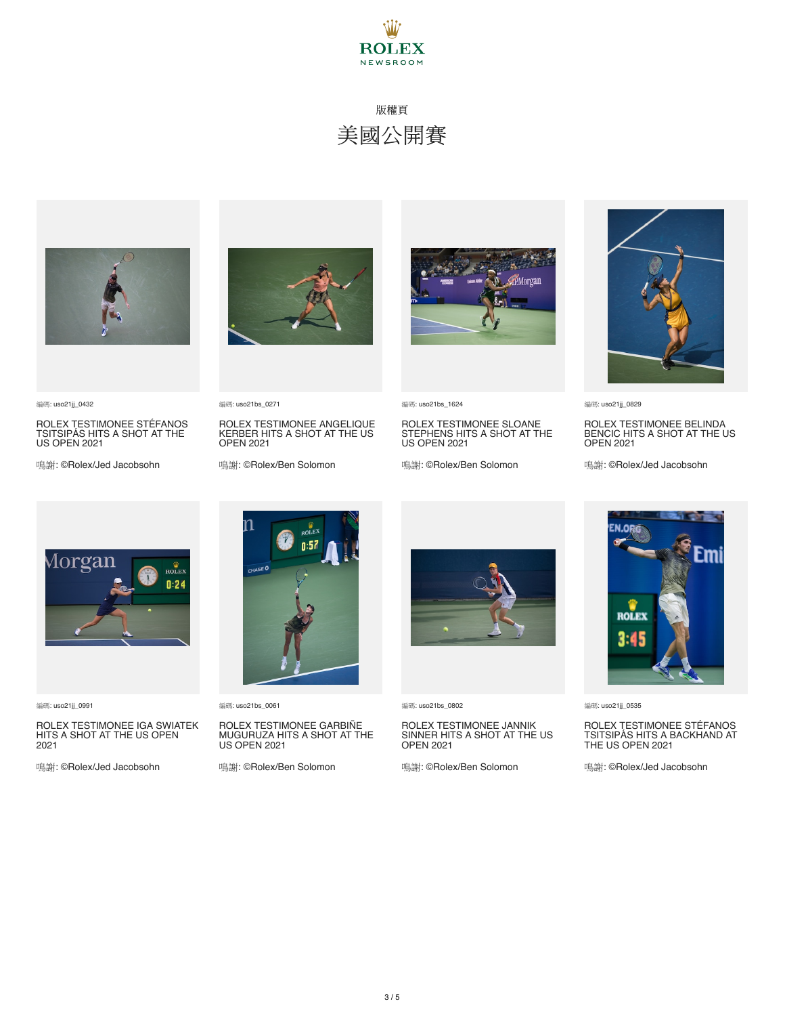



編碼: uso21jj\_0432

ROLEX TESTIMONEE STÉFANOS TSITSIPÁS HITS A SHOT AT THE US OPEN 2021

鳴謝: ©Rolex/Jed Jacobsohn



編碼: uso21bs\_0271

ROLEX TESTIMONEE ANGELIQUE KERBER HITS A SHOT AT THE US OPEN 2021

鳴謝: ©Rolex/Ben Solomon



編碼: uso21bs\_1624

ROLEX TESTIMONEE SLOANE STEPHENS HITS A SHOT AT THE US OPEN 2021

鳴謝: ©Rolex/Ben Solomon



編碼: uso21jj\_0829

ROLEX TESTIMONEE BELINDA BENCIC HITS A SHOT AT THE US OPEN 2021

鳴謝: ©Rolex/Jed Jacobsohn



編碼: uso21jj\_0991

ROLEX TESTIMONEE IGA SWIATEK HITS A SHOT AT THE US OPEN 2021

鳴謝: ©Rolex/Jed Jacobsohn



編碼: uso21bs\_0061

#### ROLEX TESTIMONEE GARBIÑE<br>MUGURUZA HITS A SHOT AT THE US OPEN 2021

鳴謝: ©Rolex/Ben Solomon



編碼: uso21bs\_0802

### ROLEX TESTIMONEE JANNIK SINNER HITS A SHOT AT THE US OPEN 2021

鳴謝: ©Rolex/Ben Solomon



編碼: uso21jj\_0535

### ROLEX TESTIMONEE STÉFANOS TSITSIPÁS HITS A BACKHAND AT THE US OPEN 2021

鳴謝: ©Rolex/Jed Jacobsohn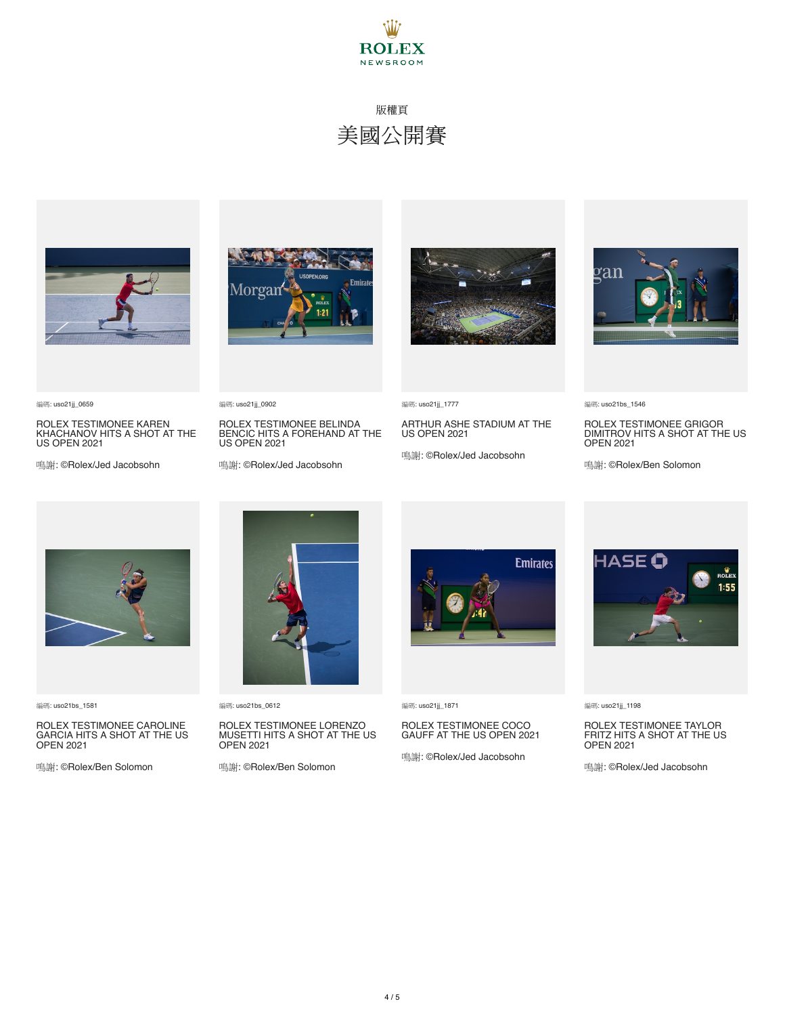



ROLEX TESTIMONEE KAREN KHACHANOV HITS A SHOT AT THE US OPEN 2021

鳴謝: ©Rolex/Jed Jacobsohn



ROLEX TESTIMONEE BELINDA BENCIC HITS A FOREHAND AT THE US OPEN 2021

鳴謝: ©Rolex/Jed Jacobsohn



編碼: uso21jj\_1777

ARTHUR ASHE STADIUM AT THE US OPEN 2021

鳴謝: ©Rolex/Jed Jacobsohn



編碼: uso21bs\_1546

ROLEX TESTIMONEE GRIGOR DIMITROV HITS A SHOT AT THE US OPEN 2021

鳴謝: ©Rolex/Ben Solomon



編碼: uso21bs\_1581

編碼: uso21jj\_0659

ROLEX TESTIMONEE CAROLINE GARCIA HITS A SHOT AT THE US OPEN 2021

鳴謝: ©Rolex/Ben Solomon



編碼: uso21bs\_0612

編碼: uso21jj\_0902

#### ROLEX TESTIMONEE LORENZO MUSETTI HITS A SHOT AT THE US OPEN 2021

鳴謝: ©Rolex/Ben Solomon



編碼: uso21jj\_1871

## ROLEX TESTIMONEE COCO GAUFF AT THE US OPEN 2021

鳴謝: ©Rolex/Jed Jacobsohn



編碼: uso21jj\_1198

### ROLEX TESTIMONEE TAYLOR FRITZ HITS A SHOT AT THE US OPEN 2021

鳴謝: ©Rolex/Jed Jacobsohn